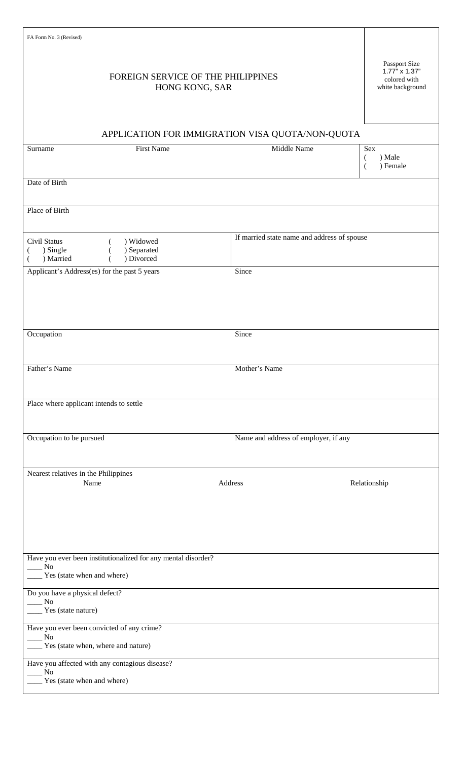| FA Form No. 3 (Revised)                                                                                 |                                             |                                                                           |  |
|---------------------------------------------------------------------------------------------------------|---------------------------------------------|---------------------------------------------------------------------------|--|
| FOREIGN SERVICE OF THE PHILIPPINES<br>HONG KONG, SAR                                                    |                                             | Passport Size<br>$1.77" \times 1.37"$<br>colored with<br>white background |  |
| APPLICATION FOR IMMIGRATION VISA QUOTA/NON-QUOTA                                                        |                                             |                                                                           |  |
| <b>First Name</b><br>Surname                                                                            | Middle Name                                 | Sex<br>) Male<br>(<br>) Female                                            |  |
| Date of Birth                                                                                           |                                             |                                                                           |  |
| Place of Birth                                                                                          |                                             |                                                                           |  |
| Civil Status<br>) Widowed<br>) Separated<br>) Single<br>) Divorced<br>) Married                         | If married state name and address of spouse |                                                                           |  |
| Applicant's Address(es) for the past 5 years                                                            | Since                                       |                                                                           |  |
|                                                                                                         |                                             |                                                                           |  |
| Occupation                                                                                              | Since                                       |                                                                           |  |
| Father's Name                                                                                           | Mother's Name                               |                                                                           |  |
| Place where applicant intends to settle                                                                 |                                             |                                                                           |  |
| Occupation to be pursued                                                                                | Name and address of employer, if any        |                                                                           |  |
| Nearest relatives in the Philippines<br>Name                                                            | Address                                     | Relationship                                                              |  |
| Have you ever been institutionalized for any mental disorder?<br>No<br>Yes (state when and where)       |                                             |                                                                           |  |
| Do you have a physical defect?<br>No<br>Yes (state nature)                                              |                                             |                                                                           |  |
| Have you ever been convicted of any crime?<br>N <sub>0</sub><br>____ Yes (state when, where and nature) |                                             |                                                                           |  |
| Have you affected with any contagious disease?<br>No<br>Yes (state when and where)                      |                                             |                                                                           |  |